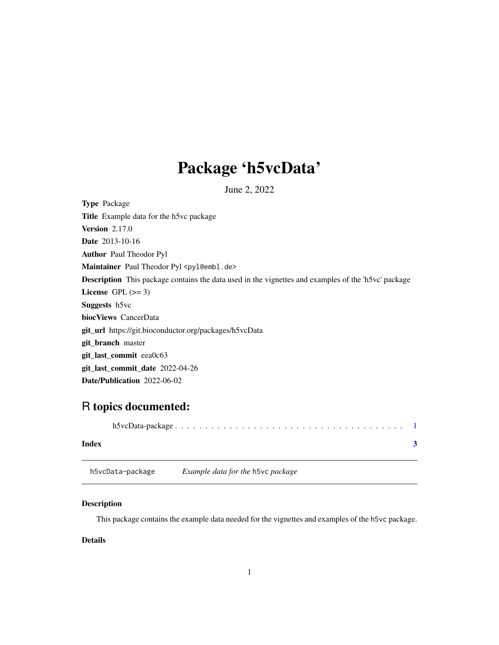## <span id="page-0-0"></span>Package 'h5vcData'

June 2, 2022

<span id="page-0-1"></span>Type Package Title Example data for the h5vc package Version 2.17.0 Date 2013-10-16 Author Paul Theodor Pyl Maintainer Paul Theodor Pyl <pyl@embl.de> Description This package contains the data used in the vignettes and examples of the 'h5vc' package License GPL  $(>= 3)$ Suggests h5vc biocViews CancerData git\_url https://git.bioconductor.org/packages/h5vcData git\_branch master git\_last\_commit eea0c63 git\_last\_commit\_date 2022-04-26 Date/Publication 2022-06-02

### R topics documented:

| Index |                  |                                          |  |
|-------|------------------|------------------------------------------|--|
|       | h5vcData-package | <i>Example data for the h5vc package</i> |  |

#### Description

This package contains the example data needed for the vignettes and examples of the h5vc package.

#### Details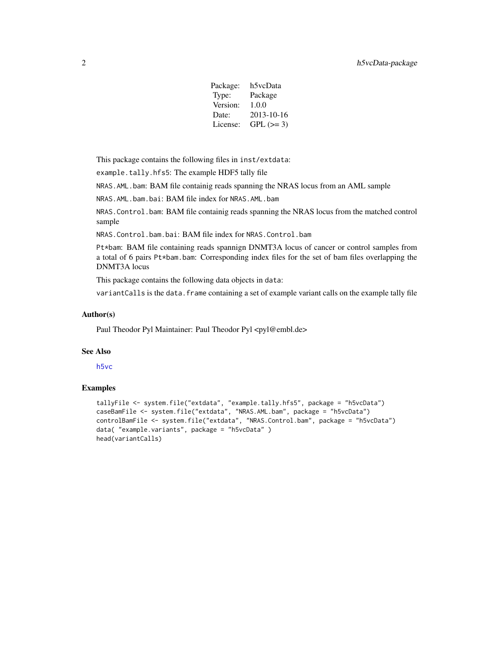| Package: | h5vcData   |
|----------|------------|
| Type:    | Package    |
| Version: | 1.0.0      |
| Date:    | 2013-10-16 |
| License: | $GPL (=3)$ |

<span id="page-1-0"></span>This package contains the following files in inst/extdata:

example.tally.hfs5: The example HDF5 tally file

NRAS.AML.bam: BAM file containig reads spanning the NRAS locus from an AML sample

NRAS.AML.bam.bai: BAM file index for NRAS.AML.bam

NRAS.Control.bam: BAM file containig reads spanning the NRAS locus from the matched control sample

NRAS.Control.bam.bai: BAM file index for NRAS.Control.bam

Pt\*bam: BAM file containing reads spannign DNMT3A locus of cancer or control samples from a total of 6 pairs Pt\*bam.bam: Corresponding index files for the set of bam files overlapping the DNMT3A locus

This package contains the following data objects in data:

variantCalls is the data.frame containing a set of example variant calls on the example tally file

#### Author(s)

Paul Theodor Pyl Maintainer: Paul Theodor Pyl <pyl@embl.de>

#### See Also

[h5vc](#page-0-1)

#### Examples

```
tallyFile <- system.file("extdata", "example.tally.hfs5", package = "h5vcData")
caseBamFile <- system.file("extdata", "NRAS.AML.bam", package = "h5vcData")
controlBamFile <- system.file("extdata", "NRAS.Control.bam", package = "h5vcData")
data( "example.variants", package = "h5vcData" )
head(variantCalls)
```